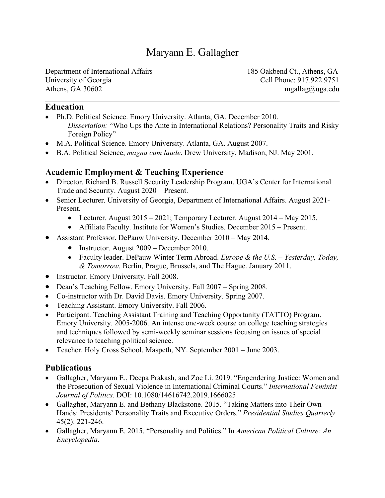# Maryann E. Gallagher

Department of International Affairs 185 Oakbend Ct., Athens, GA University of Georgia Cell Phone: 917.922.9751 Athens, GA 30602 mgallag $\omega$ uga.edu

#### **Education**

- Ph.D. Political Science. Emory University. Atlanta, GA. December 2010. *Dissertation:* "Who Ups the Ante in International Relations? Personality Traits and Risky Foreign Policy"
- M.A. Political Science. Emory University. Atlanta, GA. August 2007.
- B.A. Political Science, *magna cum laude*. Drew University, Madison, NJ. May 2001.

#### **Academic Employment & Teaching Experience**

- Director. Richard B. Russell Security Leadership Program, UGA's Center for International Trade and Security. August 2020 – Present.
- Senior Lecturer. University of Georgia, Department of International Affairs. August 2021- Present.
	- Lecturer. August 2015 2021; Temporary Lecturer. August 2014 May 2015.
	- Affiliate Faculty. Institute for Women's Studies. December 2015 Present.
- Assistant Professor. DePauw University. December 2010 May 2014.
	- Instructor. August 2009 December 2010.
	- Faculty leader. DePauw Winter Term Abroad. *Europe & the U.S. – Yesterday, Today, & Tomorrow*. Berlin, Prague, Brussels, and The Hague. January 2011.
- Instructor. Emory University. Fall 2008.
- Dean's Teaching Fellow. Emory University. Fall 2007 Spring 2008.
- Co-instructor with Dr. David Davis. Emory University. Spring 2007.
- Teaching Assistant. Emory University. Fall 2006.
- Participant. Teaching Assistant Training and Teaching Opportunity (TATTO) Program. Emory University. 2005-2006. An intense one-week course on college teaching strategies and techniques followed by semi-weekly seminar sessions focusing on issues of special relevance to teaching political science.
- Teacher. Holy Cross School. Maspeth, NY. September 2001 June 2003.

#### **Publications**

- Gallagher, Maryann E., Deepa Prakash, and Zoe Li. 2019. "Engendering Justice: Women and the Prosecution of Sexual Violence in International Criminal Courts." *International Feminist Journal of Politics*. DOI: 10.1080/14616742.2019.1666025
- Gallagher, Maryann E. and Bethany Blackstone. 2015. "Taking Matters into Their Own Hands: Presidents' Personality Traits and Executive Orders." *Presidential Studies Quarterly* 45(2): 221-246.
- Gallagher, Maryann E. 2015. "Personality and Politics." In *American Political Culture: An Encyclopedia*.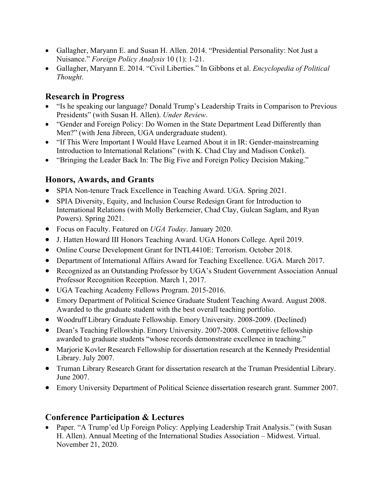- Gallagher, Maryann E. and Susan H. Allen. 2014. "Presidential Personality: Not Just a Nuisance." *Foreign Policy Analysis* 10 (1): 1-21.
- Gallagher, Maryann E. 2014. "Civil Liberties." In Gibbons et al. *Encyclopedia of Political Thought*.

#### **Research in Progress**

- "Is he speaking our language? Donald Trump's Leadership Traits in Comparison to Previous Presidents" (with Susan H. Allen). *Under Review*.
- "Gender and Foreign Policy: Do Women in the State Department Lead Differently than Men?" (with Jena Jibreen, UGA undergraduate student).
- "If This Were Important I Would Have Learned About it in IR: Gender-mainstreaming Introduction to International Relations" (with K. Chad Clay and Madison Conkel).
- "Bringing the Leader Back In: The Big Five and Foreign Policy Decision Making."

### **Honors, Awards, and Grants**

- SPIA Non-tenure Track Excellence in Teaching Award. UGA. Spring 2021.
- SPIA Diversity, Equity, and Inclusion Course Redesign Grant for Introduction to International Relations (with Molly Berkemeier, Chad Clay, Gulcan Saglam, and Ryan Powers). Spring 2021.
- Focus on Faculty. Featured on *UGA Today*. January 2020.
- J. Hatten Howard III Honors Teaching Award. UGA Honors College. April 2019.
- Online Course Development Grant for INTL4410E: Terrorism. October 2018.
- Department of International Affairs Award for Teaching Excellence. UGA. March 2017.
- Recognized as an Outstanding Professor by UGA's Student Government Association Annual Professor Recognition Reception. March 1, 2017.
- UGA Teaching Academy Fellows Program. 2015-2016.
- Emory Department of Political Science Graduate Student Teaching Award. August 2008. Awarded to the graduate student with the best overall teaching portfolio.
- Woodruff Library Graduate Fellowship. Emory University. 2008-2009. (Declined)
- Dean's Teaching Fellowship. Emory University. 2007-2008. Competitive fellowship awarded to graduate students "whose records demonstrate excellence in teaching."
- Marjorie Kovler Research Fellowship for dissertation research at the Kennedy Presidential Library. July 2007.
- Truman Library Research Grant for dissertation research at the Truman Presidential Library. June 2007.
- Emory University Department of Political Science dissertation research grant. Summer 2007.

#### **Conference Participation & Lectures**

• Paper. "A Trump'ed Up Foreign Policy: Applying Leadership Trait Analysis." (with Susan H. Allen). Annual Meeting of the International Studies Association – Midwest. Virtual. November 21, 2020.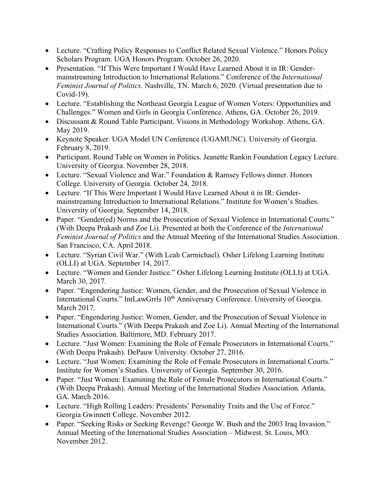- Lecture. "Crafting Policy Responses to Conflict Related Sexual Violence." Honors Policy Scholars Program. UGA Honors Program. October 26, 2020.
- Presentation. "If This Were Important I Would Have Learned About it in IR: Gendermainstreaming Introduction to International Relations." Conference of the *International Feminist Journal of Politics*. Nashville, TN. March 6, 2020. (Virtual presentation due to Covid-19).
- Lecture. "Establishing the Northeast Georgia League of Women Voters: Opportunities and Challenges." Women and Girls in Georgia Conference. Athens, GA. October 26, 2019.
- Discussant & Round Table Participant. Visions in Methodology Workshop. Athens, GA. May 2019.
- Keynote Speaker. UGA Model UN Conference (UGAMUNC). University of Georgia. February 8, 2019.
- Participant. Round Table on Women in Politics. Jeanette Rankin Foundation Legacy Lecture. University of Georgia. November 28, 2018.
- Lecture. "Sexual Violence and War." Foundation & Ramsey Fellows dinner. Honors College. University of Georgia. October 24, 2018.
- Lecture. "If This Were Important I Would Have Learned About it in IR: Gendermainstreaming Introduction to International Relations." Institute for Women's Studies. University of Georgia. September 14, 2018.
- Paper. "Gender(ed) Norms and the Prosecution of Sexual Violence in International Courts." (With Deepa Prakash and Zoe Li). Presented at both the Conference of the *International Feminist Journal of Politics* and the Annual Meeting of the International Studies Association. San Francisco, CA. April 2018.
- Lecture. "Syrian Civil War." (With Leah Carmichael). Osher Lifelong Learning Institute (OLLI) at UGA. September 14, 2017.
- Lecture. "Women and Gender Justice." Osher Lifelong Learning Institute (OLLI) at UGA. March 30, 2017.
- Paper. "Engendering Justice: Women, Gender, and the Prosecution of Sexual Violence in International Courts." IntLawGrrls 10<sup>th</sup> Anniversary Conference. University of Georgia. March 2017.
- Paper. "Engendering Justice: Women, Gender, and the Prosecution of Sexual Violence in International Courts." (With Deepa Prakash and Zoe Li). Annual Meeting of the International Studies Association. Baltimore, MD. February 2017.
- Lecture. "Just Women: Examining the Role of Female Prosecutors in International Courts." (With Deepa Prakash). DePauw University. October 27, 2016.
- Lecture. "Just Women: Examining the Role of Female Prosecutors in International Courts." Institute for Women's Studies. University of Georgia. September 30, 2016.
- Paper. "Just Women: Examining the Role of Female Prosecutors in International Courts." (With Deepa Prakash). Annual Meeting of the International Studies Association. Atlanta, GA. March 2016.
- Lecture. "High Rolling Leaders: Presidents' Personality Traits and the Use of Force." Georgia Gwinnett College. November 2012.
- Paper. "Seeking Risks or Seeking Revenge? George W. Bush and the 2003 Iraq Invasion." Annual Meeting of the International Studies Association – Midwest. St. Louis, MO. November 2012.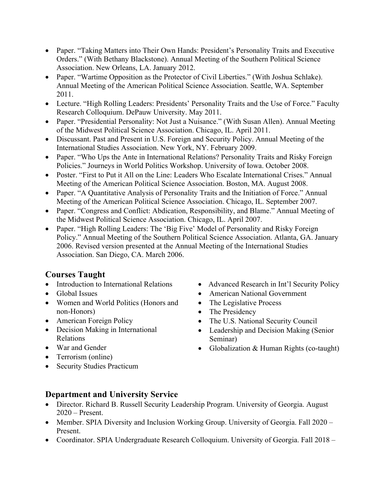- Paper. "Taking Matters into Their Own Hands: President's Personality Traits and Executive Orders." (With Bethany Blackstone). Annual Meeting of the Southern Political Science Association. New Orleans, LA. January 2012.
- Paper. "Wartime Opposition as the Protector of Civil Liberties." (With Joshua Schlake). Annual Meeting of the American Political Science Association. Seattle, WA. September 2011.
- Lecture. "High Rolling Leaders: Presidents' Personality Traits and the Use of Force." Faculty Research Colloquium. DePauw University. May 2011.
- Paper. "Presidential Personality: Not Just a Nuisance." (With Susan Allen). Annual Meeting of the Midwest Political Science Association. Chicago, IL. April 2011.
- Discussant. Past and Present in U.S. Foreign and Security Policy. Annual Meeting of the International Studies Association. New York, NY. February 2009.
- Paper. "Who Ups the Ante in International Relations? Personality Traits and Risky Foreign Policies." Journeys in World Politics Workshop. University of Iowa. October 2008.
- Poster. "First to Put it All on the Line: Leaders Who Escalate International Crises." Annual Meeting of the American Political Science Association. Boston, MA. August 2008.
- Paper. "A Quantitative Analysis of Personality Traits and the Initiation of Force." Annual Meeting of the American Political Science Association. Chicago, IL. September 2007.
- Paper. "Congress and Conflict: Abdication, Responsibility, and Blame." Annual Meeting of the Midwest Political Science Association. Chicago, IL. April 2007.
- Paper. "High Rolling Leaders: The 'Big Five' Model of Personality and Risky Foreign Policy." Annual Meeting of the Southern Political Science Association. Atlanta, GA. January 2006. Revised version presented at the Annual Meeting of the International Studies Association. San Diego, CA. March 2006.

# **Courses Taught**

- Introduction to International Relations
- Global Issues
- Women and World Politics (Honors and non-Honors)
- American Foreign Policy
- Decision Making in International Relations
- War and Gender
- Terrorism (online)
- Security Studies Practicum
- Advanced Research in Int'l Security Policy
- American National Government
- The Legislative Process
- The Presidency
- The U.S. National Security Council
- Leadership and Decision Making (Senior Seminar)
- Globalization & Human Rights (co-taught)

# **Department and University Service**

- Director. Richard B. Russell Security Leadership Program. University of Georgia. August 2020 – Present.
- Member. SPIA Diversity and Inclusion Working Group. University of Georgia. Fall 2020 Present.
- Coordinator. SPIA Undergraduate Research Colloquium. University of Georgia. Fall 2018 –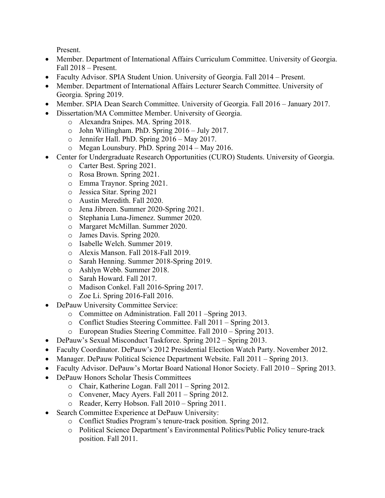Present.

- Member. Department of International Affairs Curriculum Committee. University of Georgia. Fall 2018 – Present.
- Faculty Advisor. SPIA Student Union. University of Georgia. Fall 2014 Present.
- Member. Department of International Affairs Lecturer Search Committee. University of Georgia. Spring 2019.
- Member. SPIA Dean Search Committee. University of Georgia. Fall 2016 January 2017.
	- Dissertation/MA Committee Member. University of Georgia.
		- o Alexandra Snipes. MA. Spring 2018.
		- o John Willingham. PhD. Spring 2016 July 2017.
		- o Jennifer Hall. PhD. Spring 2016 May 2017.
		- o Megan Lounsbury. PhD. Spring 2014 May 2016.
- Center for Undergraduate Research Opportunities (CURO) Students. University of Georgia.
	- o Carter Best. Spring 2021.
	- o Rosa Brown. Spring 2021.
	- o Emma Traynor. Spring 2021.
	- o Jessica Sitar. Spring 2021
	- o Austin Meredith. Fall 2020.
	- o Jena Jibreen. Summer 2020-Spring 2021.
	- o Stephania Luna-Jimenez. Summer 2020.
	- o Margaret McMillan. Summer 2020.
	- o James Davis. Spring 2020.
	- o Isabelle Welch. Summer 2019.
	- o Alexis Manson. Fall 2018-Fall 2019.
	- o Sarah Henning. Summer 2018-Spring 2019.
	- o Ashlyn Webb. Summer 2018.
	- o Sarah Howard. Fall 2017.
	- o Madison Conkel. Fall 2016-Spring 2017.
	- o Zoe Li. Spring 2016-Fall 2016.
- DePauw University Committee Service:
	- o Committee on Administration. Fall 2011 –Spring 2013.
	- o Conflict Studies Steering Committee. Fall 2011 Spring 2013.
	- o European Studies Steering Committee. Fall 2010 Spring 2013.
- DePauw's Sexual Misconduct Taskforce. Spring 2012 Spring 2013.
- Faculty Coordinator. DePauw's 2012 Presidential Election Watch Party. November 2012.
- Manager. DePauw Political Science Department Website. Fall 2011 Spring 2013.
- Faculty Advisor. DePauw's Mortar Board National Honor Society. Fall 2010 Spring 2013.
- DePauw Honors Scholar Thesis Committees
	- o Chair, Katherine Logan. Fall 2011 Spring 2012.
	- o Convener, Macy Ayers. Fall 2011 Spring 2012.
	- o Reader, Kerry Hobson. Fall 2010 Spring 2011.
- Search Committee Experience at DePauw University:
	- o Conflict Studies Program's tenure-track position. Spring 2012.
	- o Political Science Department's Environmental Politics/Public Policy tenure-track position. Fall 2011.